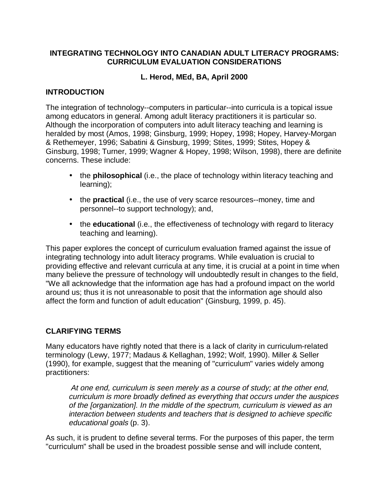#### **INTEGRATING TECHNOLOGY INTO CANADIAN ADULT LITERACY PROGRAMS: CURRICULUM EVALUATION CONSIDERATIONS**

## **L. Herod, MEd, BA, April 2000**

#### **INTRODUCTION**

The integration of technology--computers in particular--into curricula is a topical issue among educators in general. Among adult literacy practitioners it is particular so. Although the incorporation of computers into adult literacy teaching and learning is heralded by most (Amos, 1998; Ginsburg, 1999; Hopey, 1998; Hopey, Harvey-Morgan & Rethemeyer, 1996; Sabatini & Ginsburg, 1999; Stites, 1999; Stites, Hopey & Ginsburg, 1998; Turner, 1999; Wagner & Hopey, 1998; Wilson, 1998), there are definite concerns. These include:

- the **philosophical** (i.e., the place of technology within literacy teaching and learning);
- the **practical** (i.e., the use of very scarce resources--money, time and personnel--to support technology); and,
- the **educational** (i.e., the effectiveness of technology with regard to literacy teaching and learning).

This paper explores the concept of curriculum evaluation framed against the issue of integrating technology into adult literacy programs. While evaluation is crucial to providing effective and relevant curricula at any time, it is crucial at a point in time when many believe the pressure of technology will undoubtedly result in changes to the field, "We all acknowledge that the information age has had a profound impact on the world around us; thus it is not unreasonable to posit that the information age should also affect the form and function of adult education" (Ginsburg, 1999, p. 45).

### **CLARIFYING TERMS**

Many educators have rightly noted that there is a lack of clarity in curriculum-related terminology (Lewy, 1977; Madaus & Kellaghan, 1992; Wolf, 1990). Miller & Seller (1990), for example, suggest that the meaning of "curriculum" varies widely among practitioners:

At one end, curriculum is seen merely as a course of study; at the other end, curriculum is more broadly defined as everything that occurs under the auspices of the [organization]. In the middle of the spectrum, curriculum is viewed as an interaction between students and teachers that is designed to achieve specific educational goals (p. 3).

As such, it is prudent to define several terms. For the purposes of this paper, the term "curriculum" shall be used in the broadest possible sense and will include content,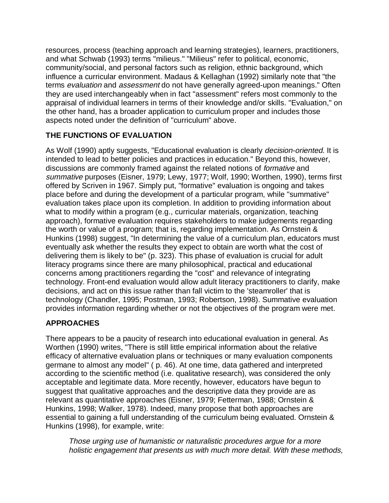resources, process (teaching approach and learning strategies), learners, practitioners, and what Schwab (1993) terms "milieus." "Milieus" refer to political, economic, community/social, and personal factors such as religion, ethnic background, which influence a curricular environment. Madaus & Kellaghan (1992) similarly note that "the terms evaluation and assessment do not have generally agreed-upon meanings." Often they are used interchangeably when in fact "assessment" refers most commonly to the appraisal of individual learners in terms of their knowledge and/or skills. "Evaluation," on the other hand, has a broader application to curriculum proper and includes those aspects noted under the definition of "curriculum" above.

# **THE FUNCTIONS OF EVALUATION**

As Wolf (1990) aptly suggests, "Educational evaluation is clearly *decision-oriented*. It is intended to lead to better policies and practices in education." Beyond this, however, discussions are commonly framed against the related notions of formative and summative purposes (Eisner, 1979; Lewy, 1977; Wolf, 1990; Worthen, 1990), terms first offered by Scriven in 1967. Simply put, "formative" evaluation is ongoing and takes place before and during the development of a particular program, while "summative" evaluation takes place upon its completion. In addition to providing information about what to modify within a program (e.g., curricular materials, organization, teaching approach), formative evaluation requires stakeholders to make judgements regarding the worth or value of a program; that is, regarding implementation. As Ornstein & Hunkins (1998) suggest, "In determining the value of a curriculum plan, educators must eventually ask whether the results they expect to obtain are worth what the cost of delivering them is likely to be" (p. 323). This phase of evaluation is crucial for adult literacy programs since there are many philosophical, practical and educational concerns among practitioners regarding the "cost" and relevance of integrating technology. Front-end evaluation would allow adult literacy practitioners to clarify, make decisions, and act on this issue rather than fall victim to the 'steamroller' that is technology (Chandler, 1995; Postman, 1993; Robertson, 1998). Summative evaluation provides information regarding whether or not the objectives of the program were met.

# **APPROACHES**

There appears to be a paucity of research into educational evaluation in general. As Worthen (1990) writes, "There is still little empirical information about the relative efficacy of alternative evaluation plans or techniques or many evaluation components germane to almost any model" ( p. 46). At one time, data gathered and interpreted according to the scientific method (i.e. qualitative research), was considered the only acceptable and legitimate data. More recently, however, educators have begun to suggest that qualitative approaches and the descriptive data they provide are as relevant as quantitative approaches (Eisner, 1979; Fetterman, 1988; Ornstein & Hunkins, 1998; Walker, 1978). Indeed, many propose that both approaches are essential to gaining a full understanding of the curriculum being evaluated. Ornstein & Hunkins (1998), for example, write:

Those urging use of humanistic or naturalistic procedures argue for a more holistic engagement that presents us with much more detail. With these methods,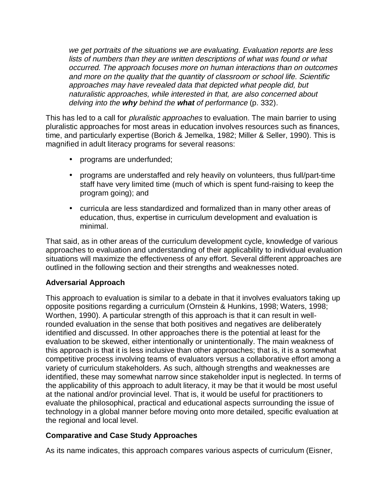we get portraits of the situations we are evaluating. Evaluation reports are less lists of numbers than they are written descriptions of what was found or what occurred. The approach focuses more on human interactions than on outcomes and more on the quality that the quantity of classroom or school life. Scientific approaches may have revealed data that depicted what people did, but naturalistic approaches, while interested in that, are also concerned about delving into the **why** behind the **what** of performance (p. 332).

This has led to a call for *pluralistic approaches* to evaluation. The main barrier to using pluralistic approaches for most areas in education involves resources such as finances, time, and particularly expertise (Borich & Jemelka, 1982; Miller & Seller, 1990). This is magnified in adult literacy programs for several reasons:

- programs are underfunded;
- programs are understaffed and rely heavily on volunteers, thus full/part-time staff have very limited time (much of which is spent fund-raising to keep the program going); and
- curricula are less standardized and formalized than in many other areas of education, thus, expertise in curriculum development and evaluation is minimal.

That said, as in other areas of the curriculum development cycle, knowledge of various approaches to evaluation and understanding of their applicability to individual evaluation situations will maximize the effectiveness of any effort. Several different approaches are outlined in the following section and their strengths and weaknesses noted.

### **Adversarial Approach**

This approach to evaluation is similar to a debate in that it involves evaluators taking up opposite positions regarding a curriculum (Ornstein & Hunkins, 1998; Waters, 1998; Worthen, 1990). A particular strength of this approach is that it can result in wellrounded evaluation in the sense that both positives and negatives are deliberately identified and discussed. In other approaches there is the potential at least for the evaluation to be skewed, either intentionally or unintentionally. The main weakness of this approach is that it is less inclusive than other approaches; that is, it is a somewhat competitive process involving teams of evaluators versus a collaborative effort among a variety of curriculum stakeholders. As such, although strengths and weaknesses are identified, these may somewhat narrow since stakeholder input is neglected. In terms of the applicability of this approach to adult literacy, it may be that it would be most useful at the national and/or provincial level. That is, it would be useful for practitioners to evaluate the philosophical, practical and educational aspects surrounding the issue of technology in a global manner before moving onto more detailed, specific evaluation at the regional and local level.

#### **Comparative and Case Study Approaches**

As its name indicates, this approach compares various aspects of curriculum (Eisner,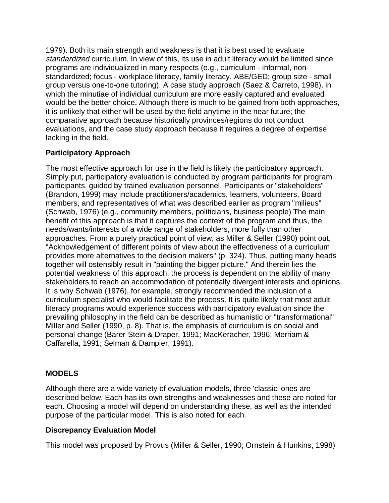1979). Both its main strength and weakness is that it is best used to evaluate standardized curriculum. In view of this, its use in adult literacy would be limited since programs are individualized in many respects (e.g., curriculum - informal, nonstandardized; focus - workplace literacy, family literacy, ABE/GED; group size - small group versus one-to-one tutoring). A case study approach (Saez & Carreto, 1998), in which the minutiae of individual curriculum are more easily captured and evaluated would be the better choice**.** Although there is much to be gained from both approaches, it is unlikely that either will be used by the field anytime in the near future; the comparative approach because historically provinces/regions do not conduct evaluations, and the case study approach because it requires a degree of expertise lacking in the field.

### **Participatory Approach**

The most effective approach for use in the field is likely the participatory approach. Simply put, participatory evaluation is conducted by program participants for program participants, guided by trained evaluation personnel. Participants or "stakeholders" (Brandon, 1999) may include practitioners/academics, learners, volunteers, Board members, and representatives of what was described earlier as program "milieus" (Schwab, 1976) (e.g., community members, politicians, business people) The main benefit of this approach is that it captures the context of the program and thus, the needs/wants/interests of a wide range of stakeholders, more fully than other approaches. From a purely practical point of view, as Miller & Seller (1990) point out, "Acknowledgement of different points of view about the effectiveness of a curriculum provides more alternatives to the decision makers" (p. 324). Thus, putting many heads together will ostensibly result in "painting the bigger picture." And therein lies the potential weakness of this approach; the process is dependent on the ability of many stakeholders to reach an accommodation of potentially divergent interests and opinions. It is why Schwab (1976), for example, strongly recommended the inclusion of a curriculum specialist who would facilitate the process. It is quite likely that most adult literacy programs would experience success with participatory evaluation since the prevailing philosophy in the field can be described as humanistic or "transformational" Miller and Seller (1990, p. 8). That is, the emphasis of curriculum is on social and personal change (Barer-Stein & Draper, 1991; MacKeracher, 1996; Merriam & Caffarella, 1991; Selman & Dampier, 1991).

### **MODELS**

Although there are a wide variety of evaluation models, three 'classic' ones are described below. Each has its own strengths and weaknesses and these are noted for each. Choosing a model will depend on understanding these, as well as the intended purpose of the particular model. This is also noted for each.

### **Discrepancy Evaluation Model**

This model was proposed by Provus (Miller & Seller, 1990; Ornstein & Hunkins, 1998)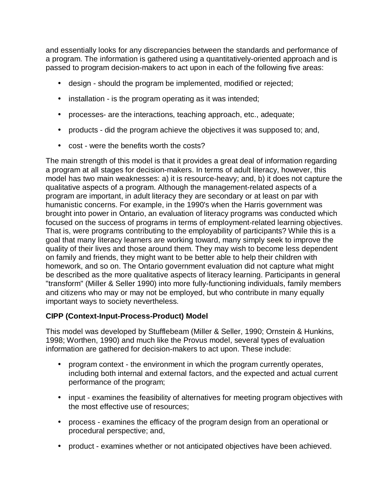and essentially looks for any discrepancies between the standards and performance of a program. The information is gathered using a quantitatively-oriented approach and is passed to program decision-makers to act upon in each of the following five areas:

- design should the program be implemented, modified or rejected;
- installation is the program operating as it was intended;
- processes- are the interactions, teaching approach, etc., adequate;
- products did the program achieve the objectives it was supposed to; and,
- cost were the benefits worth the costs?

The main strength of this model is that it provides a great deal of information regarding a program at all stages for decision-makers. In terms of adult literacy, however, this model has two main weaknesses: a) it is resource-heavy; and, b) it does not capture the qualitative aspects of a program. Although the management-related aspects of a program are important, in adult literacy they are secondary or at least on par with humanistic concerns. For example, in the 1990's when the Harris government was brought into power in Ontario, an evaluation of literacy programs was conducted which focused on the success of programs in terms of employment-related learning objectives. That is, were programs contributing to the employability of participants? While this is a goal that many literacy learners are working toward, many simply seek to improve the quality of their lives and those around them. They may wish to become less dependent on family and friends, they might want to be better able to help their children with homework, and so on. The Ontario government evaluation did not capture what might be described as the more qualitative aspects of literacy learning. Participants in general "transform" (Miller & Seller 1990) into more fully-functioning individuals, family members and citizens who may or may not be employed, but who contribute in many equally important ways to society nevertheless.

### **CIPP (Context-Input-Process-Product) Model**

This model was developed by Stufflebeam (Miller & Seller, 1990; Ornstein & Hunkins, 1998; Worthen, 1990) and much like the Provus model, several types of evaluation information are gathered for decision-makers to act upon. These include:

- program context the environment in which the program currently operates, including both internal and external factors, and the expected and actual current performance of the program;
- input examines the feasibility of alternatives for meeting program objectives with the most effective use of resources;
- process examines the efficacy of the program design from an operational or procedural perspective; and,
- product examines whether or not anticipated objectives have been achieved.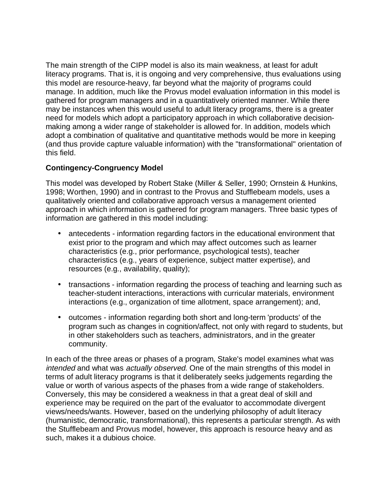The main strength of the CIPP model is also its main weakness, at least for adult literacy programs. That is, it is ongoing and very comprehensive, thus evaluations using this model are resource-heavy, far beyond what the majority of programs could manage. In addition, much like the Provus model evaluation information in this model is gathered for program managers and in a quantitatively oriented manner. While there may be instances when this would useful to adult literacy programs, there is a greater need for models which adopt a participatory approach in which collaborative decisionmaking among a wider range of stakeholder is allowed for. In addition, models which adopt a combination of qualitative and quantitative methods would be more in keeping (and thus provide capture valuable information) with the "transformational" orientation of this field.

### **Contingency-Congruency Model**

This model was developed by Robert Stake (Miller & Seller, 1990; Ornstein & Hunkins, 1998; Worthen, 1990) and in contrast to the Provus and Stufflebeam models, uses a qualitatively oriented and collaborative approach versus a management oriented approach in which information is gathered for program managers. Three basic types of information are gathered in this model including:

- antecedents information regarding factors in the educational environment that exist prior to the program and which may affect outcomes such as learner characteristics (e.g., prior performance, psychological tests), teacher characteristics (e.g., years of experience, subject matter expertise), and resources (e.g., availability, quality);
- transactions information regarding the process of teaching and learning such as teacher-student interactions, interactions with curricular materials, environment interactions (e.g., organization of time allotment, space arrangement); and,
- outcomes information regarding both short and long-term 'products' of the program such as changes in cognition/affect, not only with regard to students, but in other stakeholders such as teachers, administrators, and in the greater community.

In each of the three areas or phases of a program, Stake's model examines what was intended and what was actually observed. One of the main strengths of this model in terms of adult literacy programs is that it deliberately seeks judgements regarding the value or worth of various aspects of the phases from a wide range of stakeholders. Conversely, this may be considered a weakness in that a great deal of skill and experience may be required on the part of the evaluator to accommodate divergent views/needs/wants. However, based on the underlying philosophy of adult literacy (humanistic, democratic, transformational), this represents a particular strength. As with the Stufflebeam and Provus model, however, this approach is resource heavy and as such, makes it a dubious choice.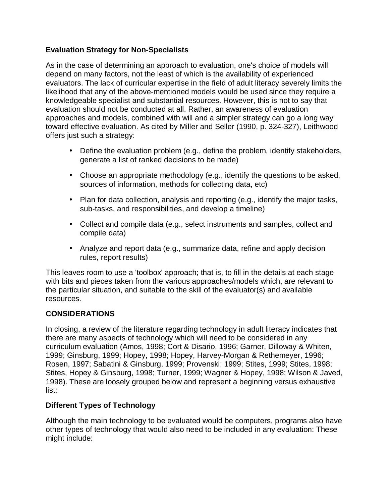### **Evaluation Strategy for Non-Specialists**

As in the case of determining an approach to evaluation, one's choice of models will depend on many factors, not the least of which is the availability of experienced evaluators. The lack of curricular expertise in the field of adult literacy severely limits the likelihood that any of the above-mentioned models would be used since they require a knowledgeable specialist and substantial resources. However, this is not to say that evaluation should not be conducted at all. Rather, an awareness of evaluation approaches and models, combined with will and a simpler strategy can go a long way toward effective evaluation. As cited by Miller and Seller (1990, p. 324-327), Leithwood offers just such a strategy:

- Define the evaluation problem (e.g., define the problem, identify stakeholders, generate a list of ranked decisions to be made)
- Choose an appropriate methodology (e.g., identify the questions to be asked, sources of information, methods for collecting data, etc)
- Plan for data collection, analysis and reporting (e.g., identify the major tasks, sub-tasks, and responsibilities, and develop a timeline)
- Collect and compile data (e.g., select instruments and samples, collect and compile data)
- Analyze and report data (e.g., summarize data, refine and apply decision rules, report results)

This leaves room to use a 'toolbox' approach; that is, to fill in the details at each stage with bits and pieces taken from the various approaches/models which, are relevant to the particular situation, and suitable to the skill of the evaluator(s) and available resources.

# **CONSIDERATIONS**

In closing, a review of the literature regarding technology in adult literacy indicates that there are many aspects of technology which will need to be considered in any curriculum evaluation (Amos, 1998; Cort & Disario, 1996; Garner, Dilloway & Whiten, 1999; Ginsburg, 1999; Hopey, 1998; Hopey, Harvey-Morgan & Rethemeyer, 1996; Rosen, 1997; Sabatini & Ginsburg, 1999; Provenski; 1999; Stites, 1999; Stites, 1998; Stites, Hopey & Ginsburg, 1998; Turner, 1999; Wagner & Hopey, 1998; Wilson & Javed, 1998). These are loosely grouped below and represent a beginning versus exhaustive list:

### **Different Types of Technology**

Although the main technology to be evaluated would be computers, programs also have other types of technology that would also need to be included in any evaluation: These might include: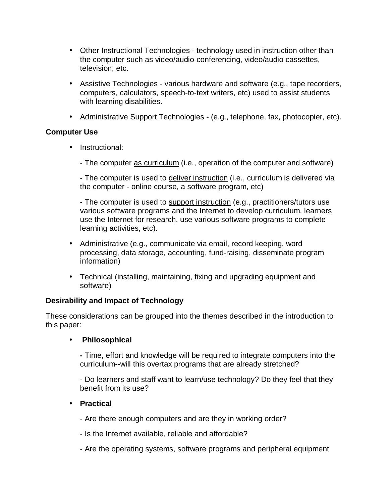- Other Instructional Technologies technology used in instruction other than the computer such as video/audio-conferencing, video/audio cassettes, television, etc.
- Assistive Technologies various hardware and software (e.g., tape recorders, computers, calculators, speech-to-text writers, etc) used to assist students with learning disabilities.
- Administrative Support Technologies (e.g., telephone, fax, photocopier, etc).

#### **Computer Use**

- Instructional:
	- The computer as curriculum (i.e., operation of the computer and software)

- The computer is used to deliver instruction (i.e., curriculum is delivered via the computer - online course, a software program, etc)

- The computer is used to support instruction (e.g., practitioners/tutors use various software programs and the Internet to develop curriculum, learners use the Internet for research, use various software programs to complete learning activities, etc).

- Administrative (e.g., communicate via email, record keeping, word processing, data storage, accounting, fund-raising, disseminate program information)
- Technical (installing, maintaining, fixing and upgrading equipment and software)

### **Desirability and Impact of Technology**

These considerations can be grouped into the themes described in the introduction to this paper:

• **Philosophical**

**-** Time, effort and knowledge will be required to integrate computers into the curriculum--will this overtax programs that are already stretched?

- Do learners and staff want to learn/use technology? Do they feel that they benefit from its use?

- **Practical**
	- Are there enough computers and are they in working order?
	- Is the Internet available, reliable and affordable?
	- Are the operating systems, software programs and peripheral equipment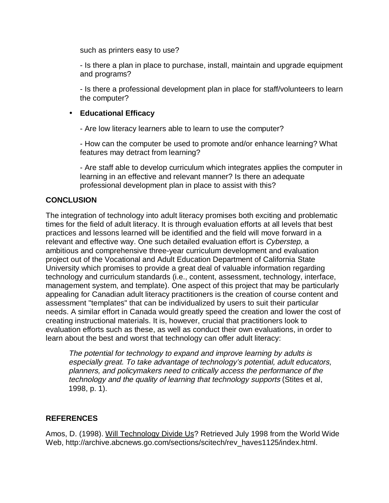such as printers easy to use?

- Is there a plan in place to purchase, install, maintain and upgrade equipment and programs?

- Is there a professional development plan in place for staff/volunteers to learn the computer?

#### • **Educational Efficacy**

- Are low literacy learners able to learn to use the computer?

- How can the computer be used to promote and/or enhance learning? What features may detract from learning?

- Are staff able to develop curriculum which integrates applies the computer in learning in an effective and relevant manner? Is there an adequate professional development plan in place to assist with this?

### **CONCLUSION**

The integration of technology into adult literacy promises both exciting and problematic times for the field of adult literacy. It is through evaluation efforts at all levels that best practices and lessons learned will be identified and the field will move forward in a relevant and effective way. One such detailed evaluation effort is Cyberstep, a ambitious and comprehensive three-year curriculum development and evaluation project out of the Vocational and Adult Education Department of California State University which promises to provide a great deal of valuable information regarding technology and curriculum standards (i.e., content, assessment, technology, interface, management system, and template). One aspect of this project that may be particularly appealing for Canadian adult literacy practitioners is the creation of course content and assessment "templates" that can be individualized by users to suit their particular needs. A similar effort in Canada would greatly speed the creation and lower the cost of creating instructional materials. It is, however, crucial that practitioners look to evaluation efforts such as these, as well as conduct their own evaluations, in order to learn about the best and worst that technology can offer adult literacy:

The potential for technology to expand and improve learning by adults is especially great. To take advantage of technology's potential, adult educators, planners, and policymakers need to critically access the performance of the technology and the quality of learning that technology supports (Stites et al, 1998, p. 1).

### **REFERENCES**

Amos, D. (1998). Will Technology Divide Us? Retrieved July 1998 from the World Wide Web, http://archive.abcnews.go.com/sections/scitech/rev\_haves1125/index.html.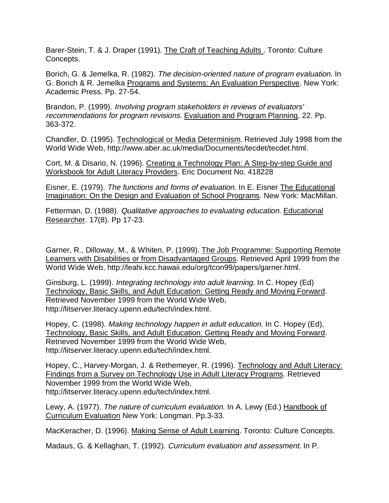Barer-Stein, T. & J. Draper (1991). The Craft of Teaching Adults . Toronto: Culture Concepts.

Borich, G. & Jemelka, R. (1982). The decision-oriented nature of program evaluation. In G. Borich & R. Jemelka Programs and Systems: An Evaluation Perspective. New York: Academic Press. Pp. 27-54.

Brandon, P. (1999). Involving program stakeholders in reviews of evaluators' recommendations for program revisions. Evaluation and Program Planning, 22. Pp. 363-372.

Chandler, D. (1995). Technological or Media Determinism. Retrieved July 1998 from the World Wide Web, http://www.aber.ac.uk/media/Documents/tecdet/tecdet.html.

Cort, M. & Disario, N. (1996). Creating a Technology Plan: A Step-by-step Guide and Worksbook for Adult Literacy Providers. Eric Document No. 418228

Eisner, E. (1979). The functions and forms of evaluation. In E. Eisner The Educational Imagination: On the Design and Evaluation of School Programs. New York: MacMillan.

Fetterman, D. (1988). Qualitative approaches to evaluating education. Educational Researcher. 17(8). Pp 17-23.

Garner, R., Dilloway, M., & Whiten, P. (1999). The Job Programme: Supporting Remote Learners with Disabilities or from Disadvantaged Groups. Retrieved April 1999 from the World Wide Web, http://leahi.kcc.hawaii.edu/org/tcon99/papers/garner.html.

Ginsburg, L. (1999). Integrating technology into adult learning. In C. Hopey (Ed) Technology, Basic Skills, and Adult Education: Getting Ready and Moving Forward. Retrieved November 1999 from the World Wide Web, http://litserver.literacy.upenn.edu/tech/index.html.

Hopey, C. (1998). Making technology happen in adult education. In C. Hopey (Ed), Technology, Basic Skills, and Adult Education: Getting Ready and Moving Forward. Retrieved November 1999 from the World Wide Web, http://litserver.literacy.upenn.edu/tech/index.html.

Hopey, C., Harvey-Morgan, J. & Rethemeyer, R. (1996). Technology and Adult Literacy: Findings from a Survey on Technology Use in Adult Literacy Programs. Retrieved November 1999 from the World Wide Web, http://litserver.literacy.upenn.edu/tech/index.html.

Lewy, A. (1977). The nature of curriculum evaluation. In A. Lewy (Ed.) Handbook of Curriculum Evaluation New York: Longman. Pp.3-33.

MacKeracher, D. (1996). Making Sense of Adult Learning. Toronto: Culture Concepts.

Madaus, G. & Kellaghan, T. (1992). Curriculum evaluation and assessment. In P.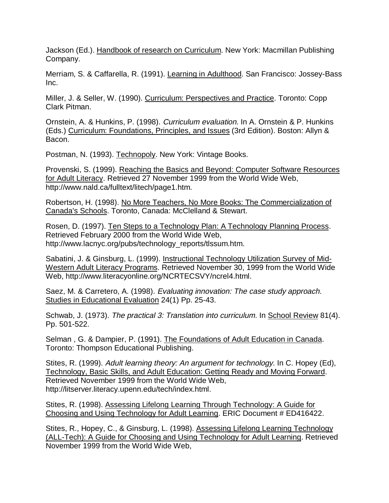Jackson (Ed.). Handbook of research on Curriculum. New York: Macmillan Publishing Company.

Merriam, S. & Caffarella, R. (1991). Learning in Adulthood. San Francisco: Jossey-Bass Inc.

Miller, J. & Seller, W. (1990). Curriculum: Perspectives and Practice. Toronto: Copp Clark Pitman.

Ornstein, A. & Hunkins, P. (1998). Curriculum evaluation. In A. Ornstein & P. Hunkins (Eds.) Curriculum: Foundations, Principles, and Issues (3rd Edition). Boston: Allyn & Bacon.

Postman, N. (1993). Technopoly. New York: Vintage Books.

Provenski, S. (1999). Reaching the Basics and Beyond: Computer Software Resources for Adult Literacy. Retrieved 27 November 1999 from the World Wide Web, http://www.nald.ca/fulltext/litech/page1.htm.

Robertson, H. (1998). No More Teachers, No More Books: The Commercialization of Canada's Schools. Toronto, Canada: McClelland & Stewart.

Rosen, D. (1997). Ten Steps to a Technology Plan: A Technology Planning Process. Retrieved February 2000 from the World Wide Web, http://www.lacnyc.org/pubs/technology\_reports/tlssum.htm.

Sabatini, J. & Ginsburg, L. (1999). Instructional Technology Utilization Survey of Mid-Western Adult Literacy Programs. Retrieved November 30, 1999 from the World Wide Web, http://www.literacyonline.org/NCRTECSVY/ncrel4.html.

Saez, M. & Carretero, A. (1998). Evaluating innovation: The case study approach. Studies in Educational Evaluation 24(1) Pp. 25-43.

Schwab, J. (1973). The practical 3: Translation into curriculum. In School Review 81(4). Pp. 501-522.

Selman , G. & Dampier, P. (1991). The Foundations of Adult Education in Canada. Toronto: Thompson Educational Publishing.

Stites, R. (1999). Adult learning theory: An argument for technology. In C. Hopey (Ed), Technology, Basic Skills, and Adult Education: Getting Ready and Moving Forward. Retrieved November 1999 from the World Wide Web, http://litserver.literacy.upenn.edu/tech/index.html.

Stites, R. (1998). Assessing Lifelong Learning Through Technology: A Guide for Choosing and Using Technology for Adult Learning. ERIC Document # ED416422.

Stites, R., Hopey, C., & Ginsburg, L. (1998). Assessing Lifelong Learning Technology (ALL-Tech): A Guide for Choosing and Using Technology for Adult Learning. Retrieved November 1999 from the World Wide Web,